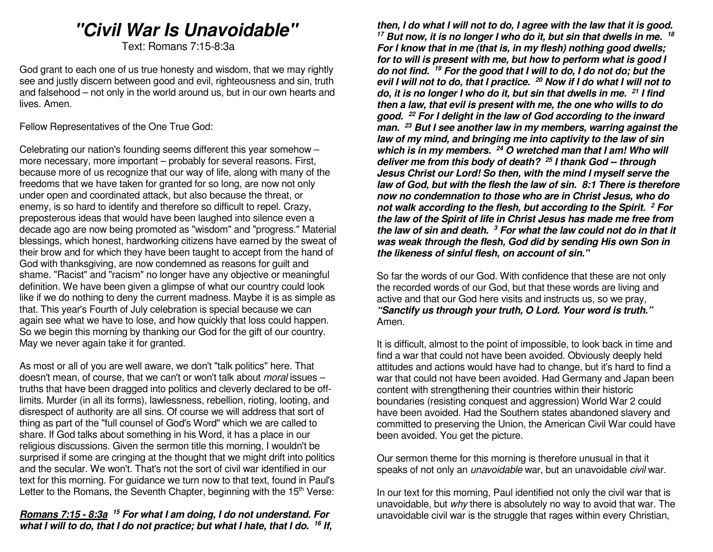# *"Civil War Is Unavoidable"*

Text: Romans 7:15-8:3a

God grant to each one of us true honesty and wisdom, that we may rightly see and justly discern between good and evil, righteousness and sin, truth and falsehood – not only in the world around us, but in our own hearts and lives. Amen.

Fellow Representatives of the One True God:

Celebrating our nation's founding seems different this year somehow – more necessary, more important – probably for several reasons. First, because more of us recognize that our way of life, along with many of the freedoms that we have taken for granted for so long, are now not only under open and coordinated attack, but also because the threat, or enemy, is so hard to identify and therefore so difficult to repel. Crazy, preposterous ideas that would have been laughed into silence even a decade ago are now being promoted as "wisdom" and "progress." Material blessings, which honest, hardworking citizens have earned by the sweat of their brow and for which they have been taught to accept from the hand of God with thanksgiving, are now condemned as reasons for guilt and shame. "Racist" and "racism" no longer have any objective or meaningful definition. We have been given a glimpse of what our country could look like if we do nothing to deny the current madness. Maybe it is as simple as that. This year's Fourth of July celebration is special because we can again see what we have to lose, and how quickly that loss could happen. So we begin this morning by thanking our God for the gift of our country. May we never again take it for granted.

As most or all of you are well aware, we don't "talk politics" here. That doesn't mean, of course, that we can't or won't talk about *moral* issues truths that have been dragged into politics and cleverly declared to be offlimits. Murder (in all its forms), lawlessness, rebellion, rioting, looting, and disrespect of authority are all sins. Of course we will address that sort of thing as part of the "full counsel of God's Word" which we are called to share. If God talks about something in his Word, it has a place in our religious discussions. Given the sermon title this morning, I wouldn't be surprised if some are cringing at the thought that we might drift into politics and the secular. We won't. That's not the sort of civil war identified in our text for this morning. For guidance we turn now to that text, found in Paul's Letter to the Romans, the Seventh Chapter, beginning with the 15<sup>th</sup> Verse:

#### *Romans 7:15 - 8:3a <sup>15</sup> For what I am doing, I do not understand. For what I will to do, that I do not practice; but what I hate, that I do. 16 If,*

*then, I do what I will not to do, I agree with the law that it is good. <sup>17</sup> But now, it is no longer I who do it, but sin that dwells in me. <sup>18</sup> For I know that in me (that is, in my flesh) nothing good dwells; for to will is present with me, but how to perform what is good I do not find. <sup>19</sup> For the good that I will to do, I do not do; but the evil I will not to do, that I practice. <sup>20</sup> Now if I do what I will not to do, it is no longer I who do it, but sin that dwells in me. <sup>21</sup> I find then a law, that evil is present with me, the one who wills to do good. 22 For I delight in the law of God according to the inward man. <sup>23</sup> But I see another law in my members, warring against the law of my mind, and bringing me into captivity to the law of sin which is in my members. 24 O wretched man that I am! Who will deliver me from this body of death? 25 I thank God -- through Jesus Christ our Lord! So then, with the mind I myself serve the law of God, but with the flesh the law of sin. 8:1 There is therefore now no condemnation to those who are in Christ Jesus, who do not walk according to the flesh, but according to the Spirit. <sup>2</sup> For the law of the Spirit of life in Christ Jesus has made me free from the law of sin and death. <sup>3</sup> For what the law could not do in that it was weak through the flesh, God did by sending His own Son in the likeness of sinful flesh, on account of sin."*

So far the words of our God. With confidence that these are not only the recorded words of our God, but that these words are living and active and that our God here visits and instructs us, so we pray, *"Sanctify us through your truth, O Lord. Your word is truth."* Amen.

It is difficult, almost to the point of impossible, to look back in time and find a war that could not have been avoided. Obviously deeply held attitudes and actions would have had to change, but it's hard to find a war that could not have been avoided. Had Germany and Japan been content with strengthening their countries within their historic boundaries (resisting conquest and aggression) World War 2 could have been avoided. Had the Southern states abandoned slavery and committed to preserving the Union, the American Civil War could have been avoided. You get the picture.

Our sermon theme for this morning is therefore unusual in that it speaks of not only an *unavoidable* war, but an unavoidable civil war.

In our text for this morning, Paul identified not only the civil war that is unavoidable, but why there is absolutely no way to avoid that war. The unavoidable civil war is the struggle that rages within every Christian,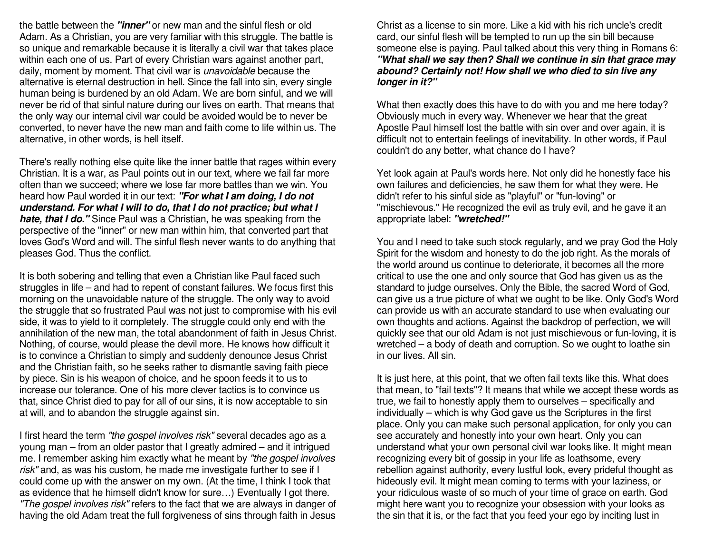the battle between the *"inner"* or new man and the sinful flesh or old Adam. As a Christian, you are very familiar with this struggle. The battle is so unique and remarkable because it is literally a civil war that takes place within each one of us. Part of every Christian wars against another part, daily, moment by moment. That civil war is unavoidable because the alternative is eternal destruction in hell. Since the fall into sin, every single human being is burdened by an old Adam. We are born sinful, and we will never be rid of that sinful nature during our lives on earth. That means that the only way our internal civil war could be avoided would be to never be converted, to never have the new man and faith come to life within us. The alternative, in other words, is hell itself.

There's really nothing else quite like the inner battle that rages within every Christian. It is a war, as Paul points out in our text, where we fail far more often than we succeed; where we lose far more battles than we win. You heard how Paul worded it in our text: *"For what I am doing, I do not understand. For what I will to do, that I do not practice; but what I hate, that I do."* Since Paul was a Christian, he was speaking from the perspective of the "inner" or new man within him, that converted part that loves God's Word and will. The sinful flesh never wants to do anything that pleases God. Thus the conflict.

It is both sobering and telling that even a Christian like Paul faced such struggles in life – and had to repent of constant failures. We focus first this morning on the unavoidable nature of the struggle. The only way to avoid the struggle that so frustrated Paul was not just to compromise with his evil side, it was to yield to it completely. The struggle could only end with the annihilation of the new man, the total abandonment of faith in Jesus Christ. Nothing, of course, would please the devil more. He knows how difficult it is to convince a Christian to simply and suddenly denounce Jesus Christ and the Christian faith, so he seeks rather to dismantle saving faith piece by piece. Sin is his weapon of choice, and he spoon feeds it to us to increase our tolerance. One of his more clever tactics is to convince us that, since Christ died to pay for all of our sins, it is now acceptable to sin at will, and to abandon the struggle against sin.

I first heard the term "the gospel involves risk" several decades ago as a young man – from an older pastor that I greatly admired – and it intrigued me. I remember asking him exactly what he meant by "the gospel involves risk" and, as was his custom, he made me investigate further to see if I could come up with the answer on my own. (At the time, I think I took that as evidence that he himself didn't know for sure…) Eventually I got there. "The gospel involves risk" refers to the fact that we are always in danger of having the old Adam treat the full forgiveness of sins through faith in Jesus

Christ as a license to sin more. Like a kid with his rich uncle's credit card, our sinful flesh will be tempted to run up the sin bill because someone else is paying. Paul talked about this very thing in Romans 6: *"What shall we say then? Shall we continue in sin that grace may abound? Certainly not! How shall we who died to sin live any longer in it?"*

What then exactly does this have to do with you and me here today? Obviously much in every way. Whenever we hear that the great Apostle Paul himself lost the battle with sin over and over again, it is difficult not to entertain feelings of inevitability. In other words, if Paul couldn't do any better, what chance do I have?

Yet look again at Paul's words here. Not only did he honestly face his own failures and deficiencies, he saw them for what they were. He didn't refer to his sinful side as "playful" or "fun-loving" or "mischievous." He recognized the evil as truly evil, and he gave it an appropriate label: *"wretched!"*

You and I need to take such stock regularly, and we pray God the Holy Spirit for the wisdom and honesty to do the job right. As the morals of the world around us continue to deteriorate, it becomes all the more critical to use the one and only source that God has given us as the standard to judge ourselves. Only the Bible, the sacred Word of God, can give us a true picture of what we ought to be like. Only God's Word can provide us with an accurate standard to use when evaluating our own thoughts and actions. Against the backdrop of perfection, we will quickly see that our old Adam is not just mischievous or fun-loving, it is wretched – a body of death and corruption. So we ought to loathe sin in our lives. All sin.

It is just here, at this point, that we often fail texts like this. What does that mean, to "fail texts"? It means that while we accept these words as true, we fail to honestly apply them to ourselves – specifically and individually – which is why God gave us the Scriptures in the first place. Only you can make such personal application, for only you can see accurately and honestly into your own heart. Only you can understand what your own personal civil war looks like. It might mean recognizing every bit of gossip in your life as loathsome, every rebellion against authority, every lustful look, every prideful thought as hideously evil. It might mean coming to terms with your laziness, or your ridiculous waste of so much of your time of grace on earth. God might here want you to recognize your obsession with your looks as the sin that it is, or the fact that you feed your ego by inciting lust in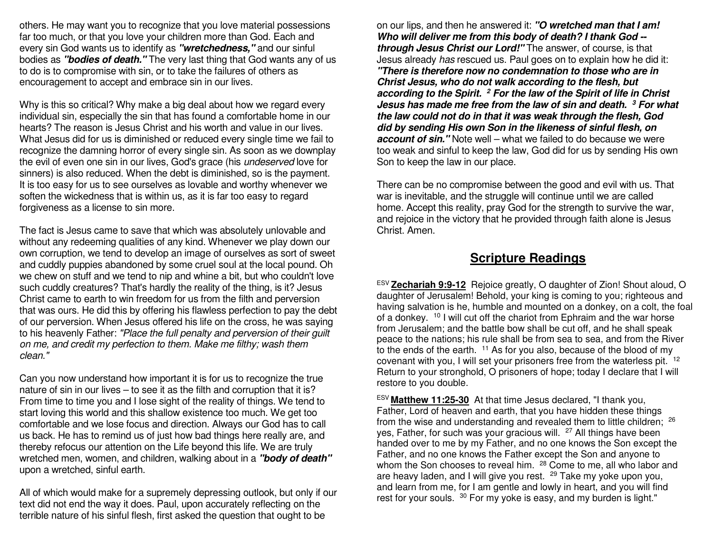others. He may want you to recognize that you love material possessions far too much, or that you love your children more than God. Each and every sin God wants us to identify as *"wretchedness,"* and our sinful bodies as *"bodies of death."* The very last thing that God wants any of us to do is to compromise with sin, or to take the failures of others as encouragement to accept and embrace sin in our lives.

Why is this so critical? Why make a big deal about how we regard every individual sin, especially the sin that has found a comfortable home in our hearts? The reason is Jesus Christ and his worth and value in our lives. What Jesus did for us is diminished or reduced every single time we fail to recognize the damning horror of every single sin. As soon as we downplay the evil of even one sin in our lives, God's grace (his undeserved love for sinners) is also reduced. When the debt is diminished, so is the payment. It is too easy for us to see ourselves as lovable and worthy whenever we soften the wickedness that is within us, as it is far too easy to regard forgiveness as a license to sin more.

The fact is Jesus came to save that which was absolutely unlovable and without any redeeming qualities of any kind. Whenever we play down our own corruption, we tend to develop an image of ourselves as sort of sweet and cuddly puppies abandoned by some cruel soul at the local pound. Oh we chew on stuff and we tend to nip and whine a bit, but who couldn't love such cuddly creatures? That's hardly the reality of the thing, is it? Jesus Christ came to earth to win freedom for us from the filth and perversion that was ours. He did this by offering his flawless perfection to pay the debt of our perversion. When Jesus offered his life on the cross, he was saying to his heavenly Father: "Place the full penalty and perversion of their guilt on me, and credit my perfection to them. Make me filthy; wash them clean."

Can you now understand how important it is for us to recognize the true nature of sin in our lives – to see it as the filth and corruption that it is? From time to time you and I lose sight of the reality of things. We tend to start loving this world and this shallow existence too much. We get too comfortable and we lose focus and direction. Always our God has to call us back. He has to remind us of just how bad things here really are, and thereby refocus our attention on the Life beyond this life. We are truly wretched men, women, and children, walking about in a *"body of death"*upon a wretched, sinful earth.

All of which would make for a supremely depressing outlook, but only if our text did not end the way it does. Paul, upon accurately reflecting on the terrible nature of his sinful flesh, first asked the question that ought to be

on our lips, and then he answered it: *"O wretched man that I am! Who will deliver me from this body of death? I thank God - through Jesus Christ our Lord!"* The answer, of course, is that Jesus already has rescued us. Paul goes on to explain how he did it: *"There is therefore now no condemnation to those who are in Christ Jesus, who do not walk according to the flesh, but according to the Spirit. 2 For the law of the Spirit of life in Christ Jesus has made me free from the law of sin and death. <sup>3</sup> For what the law could not do in that it was weak through the flesh, God did by sending His own Son in the likeness of sinful flesh, on account of sin."* Note well – what we failed to do because we were too weak and sinful to keep the law, God did for us by sending His own Son to keep the law in our place.

There can be no compromise between the good and evil with us. That war is inevitable, and the struggle will continue until we are called home. Accept this reality, pray God for the strength to survive the war, and rejoice in the victory that he provided through faith alone is Jesus Christ. Amen.

### **Scripture Readings**

ESV **Zechariah 9:9-12** Rejoice greatly, O daughter of Zion! Shout aloud, O daughter of Jerusalem! Behold, your king is coming to you; righteous and having salvation is he, humble and mounted on a donkey, on a colt, the foal of a donkey. 10 I will cut off the chariot from Ephraim and the war horse from Jerusalem; and the battle bow shall be cut off, and he shall speak peace to the nations; his rule shall be from sea to sea, and from the River to the ends of the earth. <sup>11</sup> As for you also, because of the blood of my covenant with you, I will set your prisoners free from the waterless pit. <sup>12</sup> Return to your stronghold, O prisoners of hope; today I declare that I will restore to you double.

ESV **Matthew 11:25-30** At that time Jesus declared, "I thank you, Father, Lord of heaven and earth, that you have hidden these things from the wise and understanding and revealed them to little children; <sup>26</sup> yes, Father, for such was your gracious will. 27 All things have been handed over to me by my Father, and no one knows the Son except the Father, and no one knows the Father except the Son and anyone to whom the Son chooses to reveal him. <sup>28</sup> Come to me, all who labor and are heavy laden, and I will give you rest. <sup>29</sup> Take my voke upon you. and learn from me, for I am gentle and lowly in heart, and you will find rest for your souls. <sup>30</sup> For my yoke is easy, and my burden is light."